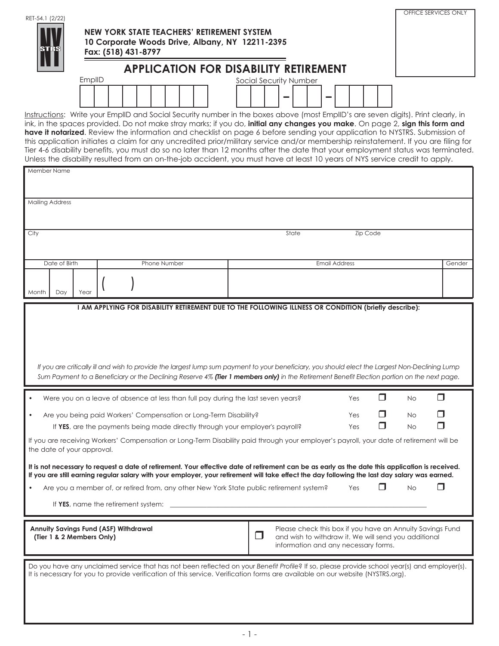| RET-54.1 (2/22) | NEW YORK STATE TEACHERS' RETIREMENT SYSTEM<br>10 Corporate Woods Drive, Albany, NY 12211-2395<br>Fax: (518) 431-8797 | OFFICE SERVICES ONLY |
|-----------------|----------------------------------------------------------------------------------------------------------------------|----------------------|
|                 | <b>APPLICATION FOR DISABILITY RETIREMENT</b>                                                                         |                      |
|                 | EmplID<br>Social Security Number                                                                                     |                      |
|                 | _                                                                                                                    |                      |

Instructions: Write your EmplID and Social Security number in the boxes above (most EmplID's are seven digits). Print clearly, in ink, in the spaces provided. Do not make stray marks; if you do, **initial any changes you make**. On page 2, **sign this form and have it notarized**. Review the information and checklist on page 6 before sending your application to NYSTRS. Submission of this application initiates a claim for any uncredited prior/military service and/or membership reinstatement. If you are filing for Tier 4-6 disability benefits, you must do so no later than 12 months after the date that your employment status was terminated. Unless the disability resulted from an on-the-job accident, you must have at least 10 years of NYS service credit to apply.

| Member Name                                                               |                                                                                                                                                                                                                                                                                |                                                                                                                        |     |          |           |        |
|---------------------------------------------------------------------------|--------------------------------------------------------------------------------------------------------------------------------------------------------------------------------------------------------------------------------------------------------------------------------|------------------------------------------------------------------------------------------------------------------------|-----|----------|-----------|--------|
|                                                                           |                                                                                                                                                                                                                                                                                |                                                                                                                        |     |          |           |        |
|                                                                           |                                                                                                                                                                                                                                                                                |                                                                                                                        |     |          |           |        |
| <b>Mailing Address</b>                                                    |                                                                                                                                                                                                                                                                                |                                                                                                                        |     |          |           |        |
|                                                                           |                                                                                                                                                                                                                                                                                |                                                                                                                        |     |          |           |        |
| City                                                                      |                                                                                                                                                                                                                                                                                | State                                                                                                                  |     | Zip Code |           |        |
|                                                                           |                                                                                                                                                                                                                                                                                |                                                                                                                        |     |          |           |        |
| Date of Birth                                                             | Phone Number                                                                                                                                                                                                                                                                   | <b>Email Address</b>                                                                                                   |     |          |           | Gender |
|                                                                           |                                                                                                                                                                                                                                                                                |                                                                                                                        |     |          |           |        |
| Day<br>Month<br>Year                                                      |                                                                                                                                                                                                                                                                                |                                                                                                                        |     |          |           |        |
|                                                                           |                                                                                                                                                                                                                                                                                |                                                                                                                        |     |          |           |        |
|                                                                           | I AM APPLYING FOR DISABILITY RETIREMENT DUE TO THE FOLLOWING ILLNESS OR CONDITION (briefly describe):                                                                                                                                                                          |                                                                                                                        |     |          |           |        |
|                                                                           |                                                                                                                                                                                                                                                                                |                                                                                                                        |     |          |           |        |
|                                                                           |                                                                                                                                                                                                                                                                                |                                                                                                                        |     |          |           |        |
|                                                                           |                                                                                                                                                                                                                                                                                |                                                                                                                        |     |          |           |        |
|                                                                           | If you are critically ill and wish to provide the largest lump sum payment to your beneficiary, you should elect the Largest Non-Declining Lump                                                                                                                                |                                                                                                                        |     |          |           |        |
|                                                                           | Sum Payment to a Beneficiary or the Declining Reserve 4% (Tier 1 members only) in the Retirement Benefit Election portion on the next page.                                                                                                                                    |                                                                                                                        |     |          |           |        |
|                                                                           |                                                                                                                                                                                                                                                                                |                                                                                                                        |     |          |           |        |
|                                                                           | Were you on a leave of absence at less than full pay during the last seven years?                                                                                                                                                                                              |                                                                                                                        | Yes | □        | <b>No</b> | П      |
|                                                                           | Are you being paid Workers' Compensation or Long-Term Disability?                                                                                                                                                                                                              |                                                                                                                        | Yes | П        | <b>No</b> | ⊓      |
|                                                                           | If YES, are the payments being made directly through your employer's payroll?                                                                                                                                                                                                  |                                                                                                                        | Yes | ⊓        | <b>No</b> | ⊓      |
|                                                                           | If you are receiving Workers' Compensation or Long-Term Disability paid through your employer's payroll, your date of retirement will be                                                                                                                                       |                                                                                                                        |     |          |           |        |
| the date of your approval.                                                |                                                                                                                                                                                                                                                                                |                                                                                                                        |     |          |           |        |
|                                                                           | It is not necessary to request a date of retirement. Your effective date of retirement can be as early as the date this application is received.                                                                                                                               |                                                                                                                        |     |          |           |        |
|                                                                           | If you are still earning regular salary with your employer, your retirement will take effect the day following the last day salary was earned.                                                                                                                                 |                                                                                                                        |     | □        |           | ⊓      |
|                                                                           | Are you a member of, or retired from, any other New York State public retirement system?                                                                                                                                                                                       |                                                                                                                        | Yes |          | <b>No</b> |        |
|                                                                           | If YES, name the retirement system:                                                                                                                                                                                                                                            |                                                                                                                        |     |          |           |        |
|                                                                           |                                                                                                                                                                                                                                                                                |                                                                                                                        |     |          |           |        |
| <b>Annuity Savings Fund (ASF) Withdrawal</b><br>(Tier 1 & 2 Members Only) |                                                                                                                                                                                                                                                                                | Please check this box if you have an Annuity Savings Fund<br>┓<br>and wish to withdraw it. We will send you additional |     |          |           |        |
|                                                                           |                                                                                                                                                                                                                                                                                | information and any necessary forms.                                                                                   |     |          |           |        |
|                                                                           |                                                                                                                                                                                                                                                                                |                                                                                                                        |     |          |           |        |
|                                                                           | Do you have any unclaimed service that has not been reflected on your Benefit Profile? If so, please provide school year(s) and employer(s).<br>It is necessary for you to provide verification of this service. Verification forms are available on our website (NYSTRS.org). |                                                                                                                        |     |          |           |        |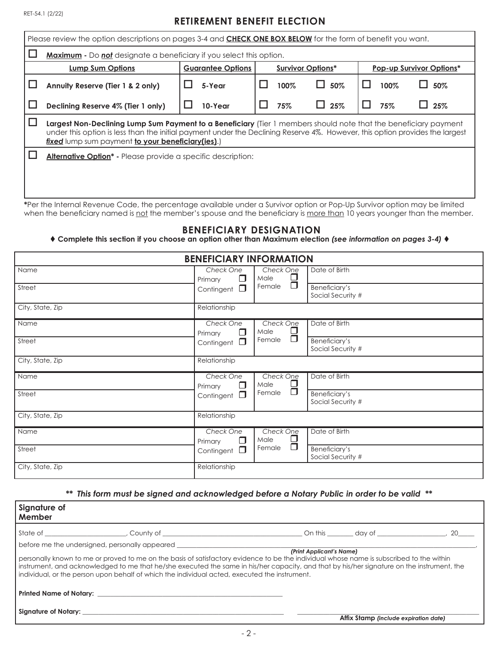## **RETIREMENT BENEFIT ELECTION**

| Please review the option descriptions on pages 3-4 and <b>CHECK ONE BOX BELOW</b> for the form of benefit you want.                                                                                                                                                                                   |  |         |  |      |            |      |     |
|-------------------------------------------------------------------------------------------------------------------------------------------------------------------------------------------------------------------------------------------------------------------------------------------------------|--|---------|--|------|------------|------|-----|
| <b>Maximum</b> - Do not designate a beneficiary if you select this option.                                                                                                                                                                                                                            |  |         |  |      |            |      |     |
| <b>Lump Sum Options</b><br><b>Guarantee Options</b><br><b>Survivor Options*</b><br><b>Pop-up Survivor Options*</b>                                                                                                                                                                                    |  |         |  |      |            |      |     |
| Annuity Reserve (Tier 1 & 2 only)                                                                                                                                                                                                                                                                     |  | 5-Year  |  | 100% | 50%        | 100% | 50% |
| Declining Reserve 4% (Tier 1 only)                                                                                                                                                                                                                                                                    |  | 10-Year |  | 75%  | 25%<br>L L | 75%  | 25% |
| Largest Non-Declining Lump Sum Payment to a Beneficiary (Tier 1 members should note that the beneficiary payment<br>under this option is less than the initial payment under the Declining Reserve 4%. However, this option provides the largest<br>fixed lump sum payment to your beneficiary(ies).) |  |         |  |      |            |      |     |
| <b>Alternative Option</b> <sup>*</sup> - Please provide a specific description:                                                                                                                                                                                                                       |  |         |  |      |            |      |     |

**\***Per the Internal Revenue Code, the percentage available under a Survivor option or Pop-Up Survivor option may be limited when the beneficiary named is not the member's spouse and the beneficiary is more than 10 years younger than the member.

### **BENEFICIARY DESIGNATION**

 **Complete this section if you choose an option other than Maximum election** *(see information on pages 3-4)*

| <b>BENEFICIARY INFORMATION</b> |                                |                             |                                    |  |  |
|--------------------------------|--------------------------------|-----------------------------|------------------------------------|--|--|
| Name                           | Check One<br>$\Box$<br>Primary | Check One<br>$\Box$<br>Male | Date of Birth                      |  |  |
| Street                         | $\Box$<br>Contingent           | Ō<br>Female                 | Beneficiary's<br>Social Security # |  |  |
| City, State, Zip               | Relationship                   |                             |                                    |  |  |
| Name                           | Check One<br>□<br>Primary      | Check One<br>$\Box$<br>Male | Date of Birth                      |  |  |
| Street                         | $\Box$<br>Contingent           | $\Box$<br>Female            | Beneficiary's<br>Social Security # |  |  |
| City, State, Zip               | Relationship                   |                             |                                    |  |  |
| Name                           | Check One<br>$\Box$<br>Primary | Check One<br>$\Box$<br>Male | Date of Birth                      |  |  |
| Street                         | Contingent $\square$           | Ō<br>Female                 | Beneficiary's<br>Social Security # |  |  |
| City, State, Zip               | Relationship                   |                             |                                    |  |  |
| Name                           | Check One<br>$\Box$<br>Primary | Check One<br>$\Box$<br>Male | Date of Birth                      |  |  |
| Street                         | $\Box$<br>Contingent           | $\Box$<br>Female            | Beneficiary's<br>Social Security # |  |  |
| City, State, Zip               | Relationship                   |                             |                                    |  |  |

### *\*\* This form must be signed and acknowledged before a Notary Public in order to be valid \*\**

| Signature of<br>Member |                                                                                                                                                                                                                                                                                                                                                                                                                                                                             |                          |                                       |  |
|------------------------|-----------------------------------------------------------------------------------------------------------------------------------------------------------------------------------------------------------------------------------------------------------------------------------------------------------------------------------------------------------------------------------------------------------------------------------------------------------------------------|--------------------------|---------------------------------------|--|
|                        |                                                                                                                                                                                                                                                                                                                                                                                                                                                                             |                          |                                       |  |
|                        | before me the undersigned, personally appeared _________________________________<br>personally known to me or proved to me on the basis of satisfactory evidence to be the individual whose name is subscribed to the within<br>instrument, and acknowledged to me that he/she executed the same in his/her capacity, and that by his/her signature on the instrument, the<br>individual, or the person upon behalf of which the individual acted, executed the instrument. | (Print Applicant's Name) |                                       |  |
|                        |                                                                                                                                                                                                                                                                                                                                                                                                                                                                             |                          |                                       |  |
|                        |                                                                                                                                                                                                                                                                                                                                                                                                                                                                             |                          | Affix Stamp (include expiration date) |  |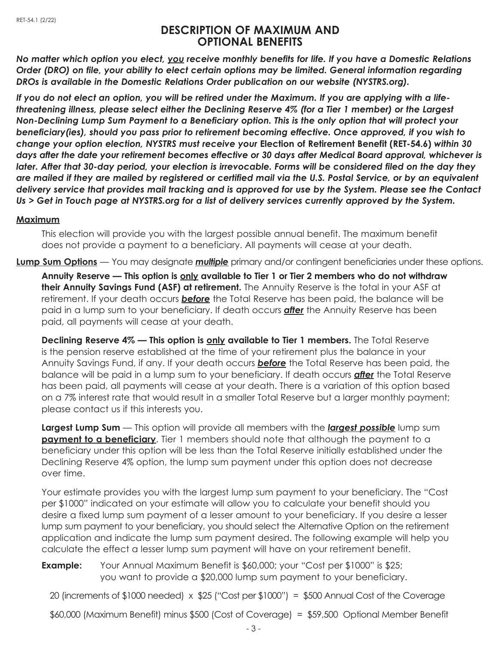## **DESCRIPTION OF MAXIMUM AND OPTIONAL BENEFITS**

*No matter which option you elect, you receive monthly benefits for life. If you have a Domestic Relations Order (DRO) on file, your ability to elect certain options may be limited. General information regarding DROs is available in the Domestic Relations Order publication on our website (NYSTRS.org).*

*If you do not elect an option, you will be retired under the Maximum. If you are applying with a lifethreatening illness, please select either the Declining Reserve 4% (for a Tier 1 member) or the Largest Non-Declining Lump Sum Payment to a Beneficiary option. This is the only option that will protect your beneficiary(ies), should you pass prior to retirement becoming effective. Once approved, if you wish to change your option election, NYSTRS must receive your* **Election of Retirement Benefit (RET-54.6)** *within 30 days after the date your retirement becomes effective or 30 days after Medical Board approval, whichever is later. After that 30-day period, your election is irrevocable. Forms will be considered filed on the day they are mailed if they are mailed by registered or certified mail via the U.S. Postal Service, or by an equivalent delivery service that provides mail tracking and is approved for use by the System. Please see the Contact Us > Get in Touch page at NYSTRS.org for a list of delivery services currently approved by the System.*

## **Maximum**

This election will provide you with the largest possible annual benefit. The maximum benefit does not provide a payment to a beneficiary. All payments will cease at your death.

**Lump Sum Options** — You may designate *multiple* primary and/or contingent beneficiaries under these options.

**Annuity Reserve — This option is only available to Tier 1 or Tier 2 members who do not withdraw their Annuity Savings Fund (ASF) at retirement.** The Annuity Reserve is the total in your ASF at retirement. If your death occurs *before* the Total Reserve has been paid, the balance will be paid in a lump sum to your beneficiary. If death occurs *after* the Annuity Reserve has been paid, all payments will cease at your death.

**Declining Reserve 4% — This option is only available to Tier 1 members.** The Total Reserve is the pension reserve established at the time of your retirement plus the balance in your Annuity Savings Fund, if any. If your death occurs *before* the Total Reserve has been paid, the balance will be paid in a lump sum to your beneficiary. If death occurs *after* the Total Reserve has been paid, all payments will cease at your death. There is a variation of this option based on a 7% interest rate that would result in a smaller Total Reserve but a larger monthly payment; please contact us if this interests you.

**Largest Lump Sum** — This option will provide all members with the *largest possible* lump sum **payment to a beneficiary**. Tier 1 members should note that although the payment to a beneficiary under this option will be less than the Total Reserve initially established under the Declining Reserve 4% option, the lump sum payment under this option does not decrease over time.

Your estimate provides you with the largest lump sum payment to your beneficiary. The "Cost per \$1000" indicated on your estimate will allow you to calculate your benefit should you desire a fixed lump sum payment of a lesser amount to your beneficiary. If you desire a lesser lump sum payment to your beneficiary, you should select the Alternative Option on the retirement application and indicate the lump sum payment desired. The following example will help you calculate the effect a lesser lump sum payment will have on your retirement benefit.

**Example:** Your Annual Maximum Benefit is \$60,000; your "Cost per \$1000" is \$25; you want to provide a \$20,000 lump sum payment to your beneficiary.

20 (increments of  $$1000$  needed)  $\times$  \$25 ("Cost per  $$1000"$ ) = \$500 Annual Cost of the Coverage

\$60,000 (Maximum Benefit) minus \$500 (Cost of Coverage) = \$59,500 Optional Member Benefit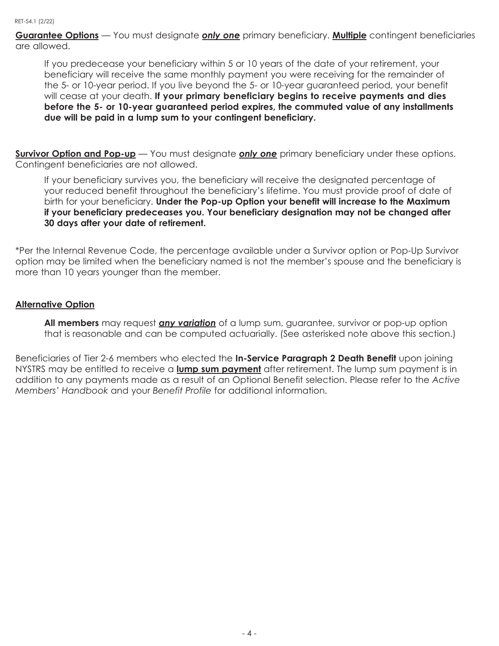**Guarantee Options** — You must designate *only one* primary beneficiary. **Multiple** contingent beneficiaries are allowed.

If you predecease your beneficiary within 5 or 10 years of the date of your retirement, your beneficiary will receive the same monthly payment you were receiving for the remainder of the 5- or 10-year period. If you live beyond the 5- or 10-year guaranteed period, your benefit will cease at your death. **If your primary beneficiary begins to receive payments and dies before the 5- or 10-year guaranteed period expires, the commuted value of any installments due will be paid in a lump sum to your contingent beneficiary.**

**Survivor Option and Pop-up** — You must designate *only one* primary beneficiary under these options. Contingent beneficiaries are not allowed.

If your beneficiary survives you, the beneficiary will receive the designated percentage of your reduced benefit throughout the beneficiary's lifetime. You must provide proof of date of birth for your beneficiary. **Under the Pop-up Option your benefit will increase to the Maximum if your beneficiary predeceases you. Your beneficiary designation may not be changed after 30 days after your date of retirement.**

\*Per the Internal Revenue Code, the percentage available under a Survivor option or Pop-Up Survivor option may be limited when the beneficiary named is not the member's spouse and the beneficiary is more than 10 years younger than the member.

## **Alternative Option**

**All members** may request *any variation* of a lump sum, guarantee, survivor or pop-up option that is reasonable and can be computed actuarially. (See asterisked note above this section.)

Beneficiaries of Tier 2-6 members who elected the **In-Service Paragraph 2 Death Benefit** upon joining NYSTRS may be entitled to receive a **lump sum payment** after retirement. The lump sum payment is in addition to any payments made as a result of an Optional Benefit selection. Please refer to the *Active Members' Handbook* and your *Benefit Profile* for additional information.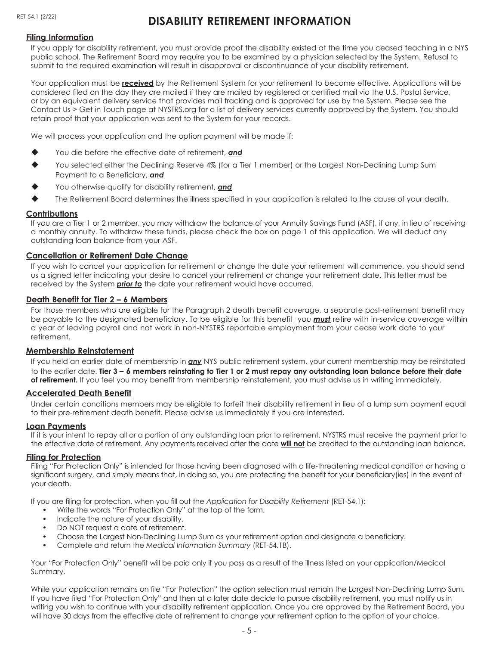# **DISABILITY RETIREMENT INFORMATION**

#### **Filing Information**

If you apply for disability retirement, you must provide proof the disability existed at the time you ceased teaching in a NYS public school. The Retirement Board may require you to be examined by a physician selected by the System. Refusal to submit to the required examination will result in disapproval or discontinuance of your disability retirement.

Your application must be **received** by the Retirement System for your retirement to become effective. Applications will be considered filed on the day they are mailed if they are mailed by registered or certified mail via the U.S. Postal Service, or by an equivalent delivery service that provides mail tracking and is approved for use by the System. Please see the Contact Us > Get in Touch page at NYSTRS.org for a list of delivery services currently approved by the System. You should retain proof that your application was sent to the System for your records.

We will process your application and the option payment will be made if:

- You die before the effective date of retirement, **and**
- You selected either the Declining Reserve 4% (for a Tier 1 member) or the Largest Non-Declining Lump Sum Payment to a Beneficiary, *and*
- You otherwise qualify for disability retirement, **and**
- The Retirement Board determines the illness specified in your application is related to the cause of your death.

#### **Contributions**

If you are a Tier 1 or 2 member, you may withdraw the balance of your Annuity Savings Fund (ASF), if any, in lieu of receiving a monthly annuity. To withdraw these funds, please check the box on page 1 of this application. We will deduct any outstanding loan balance from your ASF.

#### **Cancellation or Retirement Date Change**

If you wish to cancel your application for retirement or change the date your retirement will commence, you should send us a signed letter indicating your desire to cancel your retirement or change your retirement date. This letter must be received by the System *prior to* the date your retirement would have occurred.

#### **Death Benefit for Tier 2 – 6 Members**

For those members who are eligible for the Paragraph 2 death benefit coverage, a separate post-retirement benefit may be payable to the designated beneficiary. To be eligible for this benefit, you *must* retire with in-service coverage within a year of leaving payroll and not work in non-NYSTRS reportable employment from your cease work date to your retirement.

#### **Membership Reinstatement**

If you held an earlier date of membership in *any* NYS public retirement system, your current membership may be reinstated to the earlier date. **Tier 3 – 6 members reinstating to Tier 1 or 2 must repay any outstanding loan balance before their date of retirement.** If you feel you may benefit from membership reinstatement, you must advise us in writing immediately.

#### **Accelerated Death Benefit**

Under certain conditions members may be eligible to forfeit their disability retirement in lieu of a lump sum payment equal to their pre-retirement death benefit. Please advise us immediately if you are interested.

#### **Loan Payments**

If it is your intent to repay all or a portion of any outstanding loan prior to retirement, NYSTRS must receive the payment prior to the effective date of retirement. Any payments received after the date **will not** be credited to the outstanding loan balance.

#### **Filing for Protection**

Filing "For Protection Only" is intended for those having been diagnosed with a life-threatening medical condition or having a significant surgery, and simply means that, in doing so, you are protecting the benefit for your beneficiary(ies) in the event of your death.

If you are filing for protection, when you fill out the *Application for Disability Retirement* (RET-54.1):

- Write the words "For Protection Only" at the top of the form.
- Indicate the nature of your disability.
- Do NOT request a date of retirement.
- Choose the Largest Non-Declining Lump Sum as your retirement option and designate a beneficiary.
- Complete and return the *Medical Information Summary* (RET-54.1B).

Your "For Protection Only" benefit will be paid only if you pass as a result of the illness listed on your application/Medical Summary.

While your application remains on file "For Protection" the option selection must remain the Largest Non-Declining Lump Sum. If you have filed "For Protection Only" and then at a later date decide to pursue disability retirement, you must notify us in writing you wish to continue with your disability retirement application. Once you are approved by the Retirement Board, you will have 30 days from the effective date of retirement to change your retirement option to the option of your choice.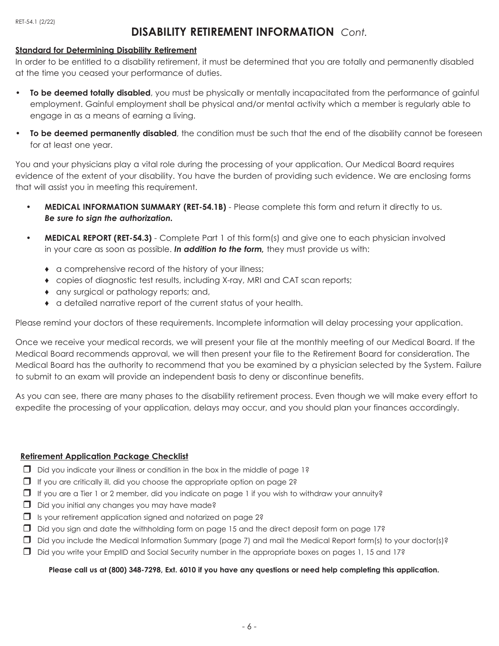## **DISABILITY RETIREMENT INFORMATION** *Cont.*

### **Standard for Determining Disability Retirement**

In order to be entitled to a disability retirement, it must be determined that you are totally and permanently disabled at the time you ceased your performance of duties.

- **• To be deemed totally disabled**, you must be physically or mentally incapacitated from the performance of gainful employment. Gainful employment shall be physical and/or mental activity which a member is regularly able to engage in as a means of earning a living.
- **• To be deemed permanently disabled**, the condition must be such that the end of the disability cannot be foreseen for at least one year.

You and your physicians play a vital role during the processing of your application. Our Medical Board requires evidence of the extent of your disability. You have the burden of providing such evidence. We are enclosing forms that will assist you in meeting this requirement.

- **MEDICAL INFORMATION SUMMARY (RET-54.1B)** Please complete this form and return it directly to us. *Be sure to sign the authorization.*
- **MEDICAL REPORT (RET-54.3)** Complete Part 1 of this form(s) and give one to each physician involved in your care as soon as possible. *In addition to the form,* they must provide us with:
	- ♦ a comprehensive record of the history of your illness;
	- ♦ copies of diagnostic test results, including X-ray, MRI and CAT scan reports;
	- ♦ any surgical or pathology reports; and,
	- ♦ a detailed narrative report of the current status of your health.

Please remind your doctors of these requirements. Incomplete information will delay processing your application.

Once we receive your medical records, we will present your file at the monthly meeting of our Medical Board. If the Medical Board recommends approval, we will then present your file to the Retirement Board for consideration. The Medical Board has the authority to recommend that you be examined by a physician selected by the System. Failure to submit to an exam will provide an independent basis to deny or discontinue benefits.

As you can see, there are many phases to the disability retirement process. Even though we will make every effort to expedite the processing of your application, delays may occur, and you should plan your finances accordingly.

### **Retirement Application Package Checklist**

- $\Box$  Did you indicate your illness or condition in the box in the middle of page 1?
- $\Box$  If you are critically ill, did you choose the appropriate option on page 2?
- $\Box$  If you are a Tier 1 or 2 member, did you indicate on page 1 if you wish to withdraw your annuity?
- $\Box$  Did you initial any changes you may have made?
- $\Box$  Is your retirement application signed and notarized on page 2?
- $\Box$  Did you sign and date the withholding form on page 15 and the direct deposit form on page 17?
- $\Box$  Did you include the Medical Information Summary (page 7) and mail the Medical Report form(s) to your doctor(s)?
- $\Box$  Did you write your EmplID and Social Security number in the appropriate boxes on pages 1, 15 and 17?

#### **Please call us at (800) 348-7298, Ext. 6010 if you have any questions or need help completing this application.**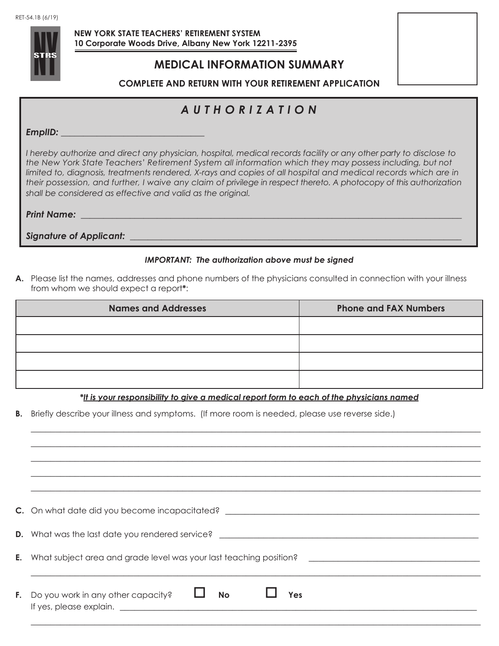

 **NEW YORK STATE TEACHERS' RETIREMENT SYSTEM 10 Corporate Woods Drive, Albany New York 12211-2395**

## **MEDICAL INFORMATION SUMMARY**

**COMPLETE AND RETURN WITH YOUR RETIREMENT APPLICATION**

# *AUTHORIZATION*

*EmplID: \_\_\_\_\_\_\_\_\_\_\_\_\_\_\_\_\_\_\_\_\_\_\_\_\_\_\_\_\_\_\_\_*

*I hereby authorize and direct any physician, hospital, medical records facility or any other party to disclose to the New York State Teachers' Retirement System all information which they may possess including, but not limited to, diagnosis, treatments rendered, X-rays and copies of all hospital and medical records which are in their possession, and further, I waive any claim of privilege in respect thereto. A photocopy of this authorization shall be considered as effective and valid as the original.*

*Print Name:* 

**Signature of Applicant: with a straight of the straight of the straight of the straight of the straight of the straight of the straight of the straight of the straight of the straight of the straight of the straight of th** 

### *IMPORTANT: The authorization above must be signed*

**A.** Please list the names, addresses and phone numbers of the physicians consulted in connection with your illness from whom we should expect a report**\***:

| <b>Names and Addresses</b> | <b>Phone and FAX Numbers</b> |
|----------------------------|------------------------------|
|                            |                              |
|                            |                              |
|                            |                              |
|                            |                              |

*\*It is your responsibility to give a medical report form to each of the physicians named*

 $\_$  , and the set of the set of the set of the set of the set of the set of the set of the set of the set of the set of the set of the set of the set of the set of the set of the set of the set of the set of the set of th  $\_$  , and the set of the set of the set of the set of the set of the set of the set of the set of the set of the set of the set of the set of the set of the set of the set of the set of the set of the set of the set of th  $\_$  , and the set of the set of the set of the set of the set of the set of the set of the set of the set of the set of the set of the set of the set of the set of the set of the set of the set of the set of the set of th  $\_$  , and the set of the set of the set of the set of the set of the set of the set of the set of the set of the set of the set of the set of the set of the set of the set of the set of the set of the set of the set of th

**B.** Briefly describe your illness and symptoms. (If more room is needed, please use reverse side.)

| C. On what date did you become incapacitated?                                        |
|--------------------------------------------------------------------------------------|
| D. What was the last date you rendered service? ________________________________     |
| <b>E.</b> What subject area and grade level was your last teaching position?         |
| <b>No</b><br>F. Do you work in any other capacity?<br>Yes<br>If yes, please explain. |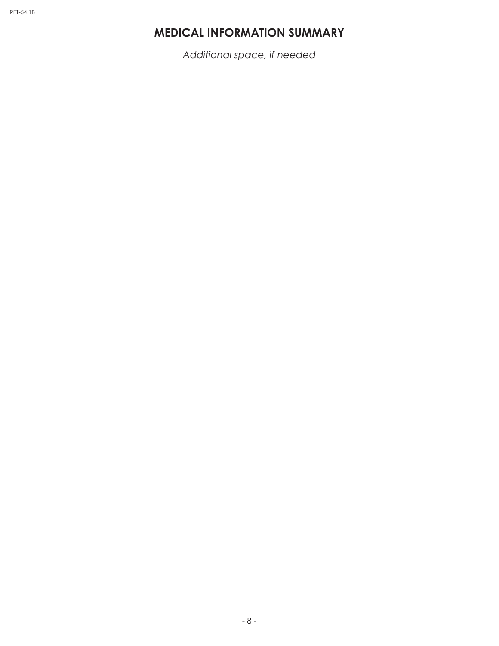# **MEDICAL INFORMATION SUMMARY**

*Additional space, if needed*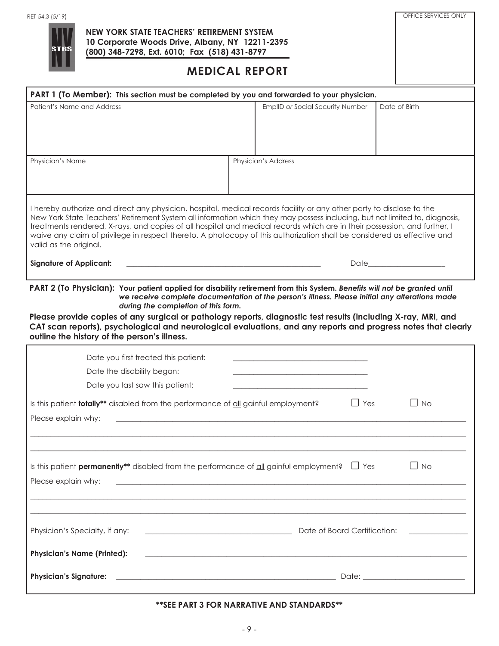

### **NEW YORK STATE TEACHERS' RETIREMENT SYSTEM 10 Corporate Woods Drive, Albany, NY 12211-2395 (800) 348-7298, Ext. 6010; Fax (518) 431-8797**

## **MEDICAL REPORT**

OFFICE SERVICES ONLY

| PART 1 (To Member): This section must be completed by you and forwarded to your physician.                                                                                                                                                                                                                                                                                                                                                                                                                                             |                              |                                                                                                                       |                                                                                                                                                                                                                               |  |  |  |
|----------------------------------------------------------------------------------------------------------------------------------------------------------------------------------------------------------------------------------------------------------------------------------------------------------------------------------------------------------------------------------------------------------------------------------------------------------------------------------------------------------------------------------------|------------------------------|-----------------------------------------------------------------------------------------------------------------------|-------------------------------------------------------------------------------------------------------------------------------------------------------------------------------------------------------------------------------|--|--|--|
| Patient's Name and Address                                                                                                                                                                                                                                                                                                                                                                                                                                                                                                             |                              | EmplID or Social Security Number                                                                                      | Date of Birth                                                                                                                                                                                                                 |  |  |  |
|                                                                                                                                                                                                                                                                                                                                                                                                                                                                                                                                        |                              |                                                                                                                       |                                                                                                                                                                                                                               |  |  |  |
| Physician's Name                                                                                                                                                                                                                                                                                                                                                                                                                                                                                                                       |                              | Physician's Address                                                                                                   |                                                                                                                                                                                                                               |  |  |  |
| I hereby authorize and direct any physician, hospital, medical records facility or any other party to disclose to the<br>New York State Teachers' Retirement System all information which they may possess including, but not limited to, diagnosis,<br>treatments rendered, X-rays, and copies of all hospital and medical records which are in their possession, and further, I<br>waive any claim of privilege in respect thereto. A photocopy of this authorization shall be considered as effective and<br>valid as the original. |                              |                                                                                                                       |                                                                                                                                                                                                                               |  |  |  |
| <b>Signature of Applicant:</b>                                                                                                                                                                                                                                                                                                                                                                                                                                                                                                         |                              |                                                                                                                       | Date that the contract of the contract of the contract of the contract of the contract of the contract of the contract of the contract of the contract of the contract of the contract of the contract of the contract of the |  |  |  |
| PART 2 (To Physician): Your patient applied for disability retirement from this System. Benefits will not be granted until<br>during the completion of this form.                                                                                                                                                                                                                                                                                                                                                                      |                              | we receive complete documentation of the person's illness. Please initial any alterations made                        |                                                                                                                                                                                                                               |  |  |  |
| Please provide copies of any surgical or pathology reports, diagnostic test results (including X-ray, MRI, and<br>CAT scan reports), psychological and neurological evaluations, and any reports and progress notes that clearly<br>outline the history of the person's illness.                                                                                                                                                                                                                                                       |                              |                                                                                                                       |                                                                                                                                                                                                                               |  |  |  |
| Date you first treated this patient:                                                                                                                                                                                                                                                                                                                                                                                                                                                                                                   |                              |                                                                                                                       |                                                                                                                                                                                                                               |  |  |  |
| Date the disability began:                                                                                                                                                                                                                                                                                                                                                                                                                                                                                                             |                              |                                                                                                                       |                                                                                                                                                                                                                               |  |  |  |
| Date you last saw this patient:                                                                                                                                                                                                                                                                                                                                                                                                                                                                                                        |                              |                                                                                                                       |                                                                                                                                                                                                                               |  |  |  |
| Is this patient <b>totally**</b> disabled from the performance of all gainful employment?                                                                                                                                                                                                                                                                                                                                                                                                                                              |                              | $\Box$ Yes                                                                                                            | $\Box$ No                                                                                                                                                                                                                     |  |  |  |
| Please explain why:                                                                                                                                                                                                                                                                                                                                                                                                                                                                                                                    |                              |                                                                                                                       |                                                                                                                                                                                                                               |  |  |  |
|                                                                                                                                                                                                                                                                                                                                                                                                                                                                                                                                        |                              |                                                                                                                       |                                                                                                                                                                                                                               |  |  |  |
|                                                                                                                                                                                                                                                                                                                                                                                                                                                                                                                                        |                              |                                                                                                                       |                                                                                                                                                                                                                               |  |  |  |
| Is this patient <b>permanently**</b> disabled from the performance of $\frac{dI}{dI}$ gainful employment? $\Box$ Yes                                                                                                                                                                                                                                                                                                                                                                                                                   |                              |                                                                                                                       | $\Box$ No                                                                                                                                                                                                                     |  |  |  |
| Please explain why:                                                                                                                                                                                                                                                                                                                                                                                                                                                                                                                    |                              |                                                                                                                       |                                                                                                                                                                                                                               |  |  |  |
|                                                                                                                                                                                                                                                                                                                                                                                                                                                                                                                                        |                              |                                                                                                                       |                                                                                                                                                                                                                               |  |  |  |
|                                                                                                                                                                                                                                                                                                                                                                                                                                                                                                                                        |                              |                                                                                                                       |                                                                                                                                                                                                                               |  |  |  |
| Physician's Specialty, if any:                                                                                                                                                                                                                                                                                                                                                                                                                                                                                                         | Date of Board Certification: |                                                                                                                       |                                                                                                                                                                                                                               |  |  |  |
| <b>Physician's Name (Printed):</b>                                                                                                                                                                                                                                                                                                                                                                                                                                                                                                     |                              | <u> 1989 - Johann Stoff, deutscher Stoff, der Stoff, der Stoff, der Stoff, der Stoff, der Stoff, der Stoff, der S</u> |                                                                                                                                                                                                                               |  |  |  |
| <b>Physician's Signature:</b>                                                                                                                                                                                                                                                                                                                                                                                                                                                                                                          |                              |                                                                                                                       |                                                                                                                                                                                                                               |  |  |  |
|                                                                                                                                                                                                                                                                                                                                                                                                                                                                                                                                        |                              |                                                                                                                       |                                                                                                                                                                                                                               |  |  |  |

#### **\*\*SEE PART 3 FOR NARRATIVE AND STANDARDS\*\***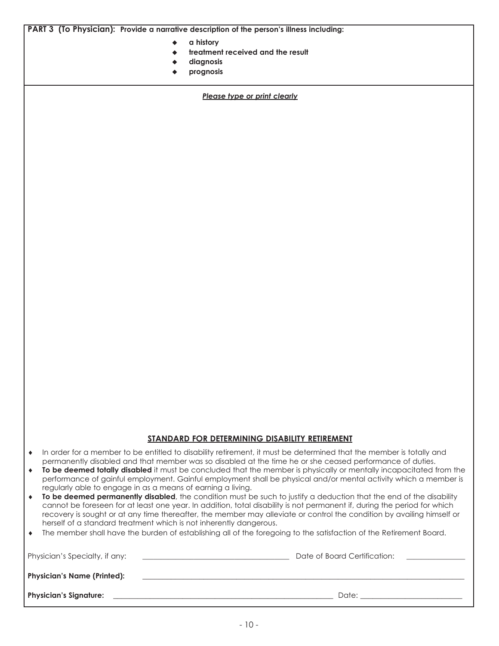**PART 3 (To Physician): Provide a narrative description of the person's illness including:**

- u **a history**
- treatment received and the result
- diagnosis
- prognosis

*Please type or print clearly*

#### **STANDARD FOR DETERMINING DISABILITY RETIREMENT**

- ♦ In order for a member to be entitled to disability retirement, it must be determined that the member is totally and permanently disabled and that member was so disabled at the time he or she ceased performance of duties.
- ♦ **To be deemed totally disabled** it must be concluded that the member is physically or mentally incapacitated from the performance of gainful employment. Gainful employment shall be physical and/or mental activity which a member is regularly able to engage in as a means of earning a living.
- ♦ **To be deemed permanently disabled**, the condition must be such to justify a deduction that the end of the disability cannot be foreseen for at least one year. In addition, total disability is not permanent if, during the period for which recovery is sought or at any time thereafter, the member may alleviate or control the condition by availing himself or herself of a standard treatment which is not inherently dangerous.
- ♦ The member shall have the burden of establishing all of the foregoing to the satisfaction of the Retirement Board.

| Physician's Specialty, if any:     | Date of Board Certification: |
|------------------------------------|------------------------------|
| <b>Physician's Name (Printed):</b> |                              |
| <b>Physician's Signature:</b>      | Date:                        |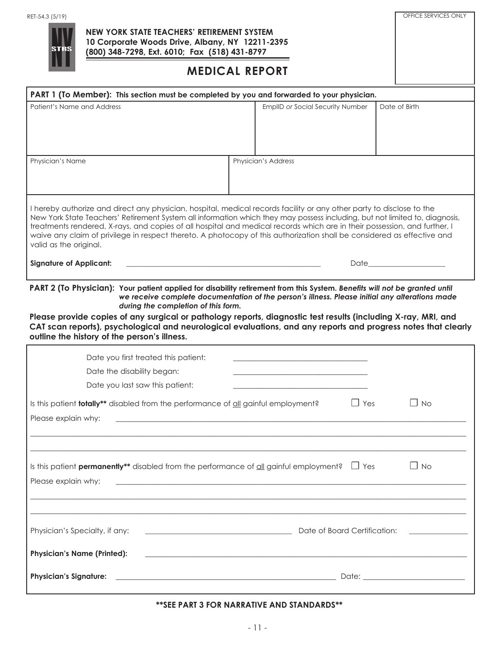

### **NEW YORK STATE TEACHERS' RETIREMENT SYSTEM 10 Corporate Woods Drive, Albany, NY 12211-2395 (800) 348-7298, Ext. 6010; Fax (518) 431-8797**

## **MEDICAL REPORT**

OFFICE SERVICES ONLY

| PART 1 (To Member): This section must be completed by you and forwarded to your physician.                                                                                                                                                                                                                                                                                                                                                                                                                                                                                                                                                                            |  |                                                                                                |                                                                                                                                                                                                                               |  |  |  |
|-----------------------------------------------------------------------------------------------------------------------------------------------------------------------------------------------------------------------------------------------------------------------------------------------------------------------------------------------------------------------------------------------------------------------------------------------------------------------------------------------------------------------------------------------------------------------------------------------------------------------------------------------------------------------|--|------------------------------------------------------------------------------------------------|-------------------------------------------------------------------------------------------------------------------------------------------------------------------------------------------------------------------------------|--|--|--|
| Patient's Name and Address                                                                                                                                                                                                                                                                                                                                                                                                                                                                                                                                                                                                                                            |  | <b>EmplID or Social Security Number</b>                                                        | Date of Birth                                                                                                                                                                                                                 |  |  |  |
| Physician's Name                                                                                                                                                                                                                                                                                                                                                                                                                                                                                                                                                                                                                                                      |  | Physician's Address                                                                            |                                                                                                                                                                                                                               |  |  |  |
| I hereby authorize and direct any physician, hospital, medical records facility or any other party to disclose to the<br>New York State Teachers' Retirement System all information which they may possess including, but not limited to, diagnosis,<br>treatments rendered, X-rays, and copies of all hospital and medical records which are in their possession, and further, I<br>waive any claim of privilege in respect thereto. A photocopy of this authorization shall be considered as effective and<br>valid as the original.<br><b>Signature of Applicant:</b><br>the control of the control of the control of the control of the control of the control of |  |                                                                                                | Date that the contract of the contract of the contract of the contract of the contract of the contract of the contract of the contract of the contract of the contract of the contract of the contract of the contract of the |  |  |  |
|                                                                                                                                                                                                                                                                                                                                                                                                                                                                                                                                                                                                                                                                       |  |                                                                                                |                                                                                                                                                                                                                               |  |  |  |
| PART 2 (To Physician): Your patient applied for disability retirement from this System. Benefits will not be granted until<br>during the completion of this form.                                                                                                                                                                                                                                                                                                                                                                                                                                                                                                     |  | we receive complete documentation of the person's illness. Please initial any alterations made |                                                                                                                                                                                                                               |  |  |  |
| Please provide copies of any surgical or pathology reports, diagnostic test results (including X-ray, MRI, and<br>CAT scan reports), psychological and neurological evaluations, and any reports and progress notes that clearly<br>outline the history of the person's illness.                                                                                                                                                                                                                                                                                                                                                                                      |  |                                                                                                |                                                                                                                                                                                                                               |  |  |  |
| Date you first treated this patient:                                                                                                                                                                                                                                                                                                                                                                                                                                                                                                                                                                                                                                  |  |                                                                                                |                                                                                                                                                                                                                               |  |  |  |
| Date the disability began:                                                                                                                                                                                                                                                                                                                                                                                                                                                                                                                                                                                                                                            |  |                                                                                                |                                                                                                                                                                                                                               |  |  |  |
| Date you last saw this patient:                                                                                                                                                                                                                                                                                                                                                                                                                                                                                                                                                                                                                                       |  |                                                                                                |                                                                                                                                                                                                                               |  |  |  |
| Is this patient <b>totally**</b> disabled from the performance of all gainful employment?                                                                                                                                                                                                                                                                                                                                                                                                                                                                                                                                                                             |  | $\Box$ Yes                                                                                     | l I No                                                                                                                                                                                                                        |  |  |  |
| Please explain why:                                                                                                                                                                                                                                                                                                                                                                                                                                                                                                                                                                                                                                                   |  |                                                                                                |                                                                                                                                                                                                                               |  |  |  |
|                                                                                                                                                                                                                                                                                                                                                                                                                                                                                                                                                                                                                                                                       |  |                                                                                                |                                                                                                                                                                                                                               |  |  |  |
| Is this patient <b>permanently**</b> disabled from the performance of $\underline{\text{all}}$ gainful employment? $\Box$ Yes<br>Please explain why:                                                                                                                                                                                                                                                                                                                                                                                                                                                                                                                  |  |                                                                                                | $\Box$ No                                                                                                                                                                                                                     |  |  |  |
| Physician's Specialty, if any:<br>Date of Board Certification:                                                                                                                                                                                                                                                                                                                                                                                                                                                                                                                                                                                                        |  |                                                                                                |                                                                                                                                                                                                                               |  |  |  |
| <b>Physician's Name (Printed):</b><br><u> 1989 - Johann Stoff, amerikansk politiker (d. 1989)</u><br><b>Physician's Signature:</b>                                                                                                                                                                                                                                                                                                                                                                                                                                                                                                                                    |  |                                                                                                |                                                                                                                                                                                                                               |  |  |  |

#### **\*\*SEE PART 3 FOR NARRATIVE AND STANDARDS\*\***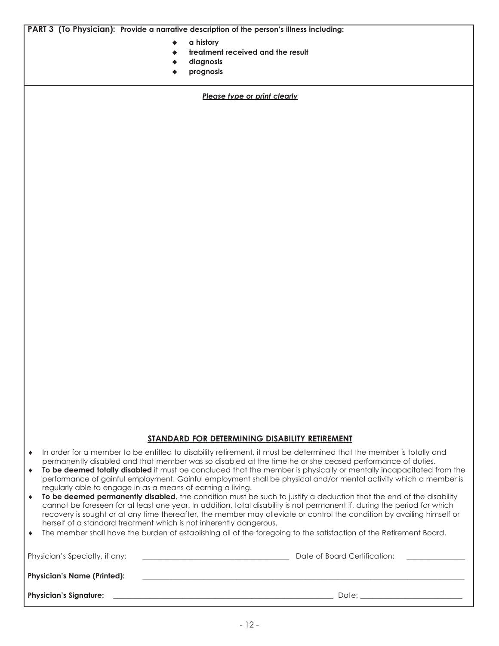**PART 3 (To Physician): Provide a narrative description of the person's illness including:**

- u **a history**
- treatment received and the result
- diagnosis
- u **prognosis**

*Please type or print clearly*

#### **STANDARD FOR DETERMINING DISABILITY RETIREMENT**

- ♦ In order for a member to be entitled to disability retirement, it must be determined that the member is totally and permanently disabled and that member was so disabled at the time he or she ceased performance of duties.
- ♦ **To be deemed totally disabled** it must be concluded that the member is physically or mentally incapacitated from the performance of gainful employment. Gainful employment shall be physical and/or mental activity which a member is regularly able to engage in as a means of earning a living.
- ♦ **To be deemed permanently disabled**, the condition must be such to justify a deduction that the end of the disability cannot be foreseen for at least one year. In addition, total disability is not permanent if, during the period for which recovery is sought or at any time thereafter, the member may alleviate or control the condition by availing himself or herself of a standard treatment which is not inherently dangerous.
- ♦ The member shall have the burden of establishing all of the foregoing to the satisfaction of the Retirement Board.

| Physician's Specialty, if any:     | Date of Board Certification: |
|------------------------------------|------------------------------|
| <b>Physician's Name (Printed):</b> |                              |
| <b>Physician's Signature:</b>      | Date:                        |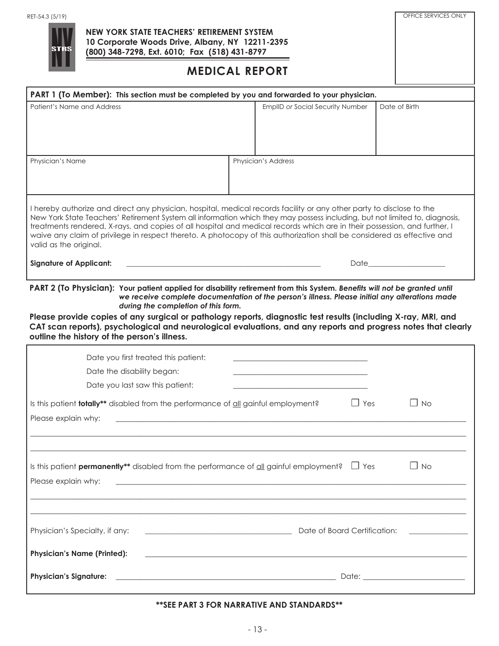

### **NEW YORK STATE TEACHERS' RETIREMENT SYSTEM 10 Corporate Woods Drive, Albany, NY 12211-2395 (800) 348-7298, Ext. 6010; Fax (518) 431-8797**

## **MEDICAL REPORT**

OFFICE SERVICES ONLY

| PART 1 (To Member): This section must be completed by you and forwarded to your physician.                                                                                                                                                                                                                                                                                                                                                                                                                                                                                                                                                                            |  |                                                                                                |                                                                                                                                                                                                                               |  |  |  |
|-----------------------------------------------------------------------------------------------------------------------------------------------------------------------------------------------------------------------------------------------------------------------------------------------------------------------------------------------------------------------------------------------------------------------------------------------------------------------------------------------------------------------------------------------------------------------------------------------------------------------------------------------------------------------|--|------------------------------------------------------------------------------------------------|-------------------------------------------------------------------------------------------------------------------------------------------------------------------------------------------------------------------------------|--|--|--|
| Patient's Name and Address                                                                                                                                                                                                                                                                                                                                                                                                                                                                                                                                                                                                                                            |  | <b>EmplID or Social Security Number</b>                                                        | Date of Birth                                                                                                                                                                                                                 |  |  |  |
| Physician's Name                                                                                                                                                                                                                                                                                                                                                                                                                                                                                                                                                                                                                                                      |  | Physician's Address                                                                            |                                                                                                                                                                                                                               |  |  |  |
| I hereby authorize and direct any physician, hospital, medical records facility or any other party to disclose to the<br>New York State Teachers' Retirement System all information which they may possess including, but not limited to, diagnosis,<br>treatments rendered, X-rays, and copies of all hospital and medical records which are in their possession, and further, I<br>waive any claim of privilege in respect thereto. A photocopy of this authorization shall be considered as effective and<br>valid as the original.<br><b>Signature of Applicant:</b><br>the control of the control of the control of the control of the control of the control of |  |                                                                                                | Date that the contract of the contract of the contract of the contract of the contract of the contract of the contract of the contract of the contract of the contract of the contract of the contract of the contract of the |  |  |  |
|                                                                                                                                                                                                                                                                                                                                                                                                                                                                                                                                                                                                                                                                       |  |                                                                                                |                                                                                                                                                                                                                               |  |  |  |
| PART 2 (To Physician): Your patient applied for disability retirement from this System. Benefits will not be granted until<br>during the completion of this form.                                                                                                                                                                                                                                                                                                                                                                                                                                                                                                     |  | we receive complete documentation of the person's illness. Please initial any alterations made |                                                                                                                                                                                                                               |  |  |  |
| Please provide copies of any surgical or pathology reports, diagnostic test results (including X-ray, MRI, and<br>CAT scan reports), psychological and neurological evaluations, and any reports and progress notes that clearly<br>outline the history of the person's illness.                                                                                                                                                                                                                                                                                                                                                                                      |  |                                                                                                |                                                                                                                                                                                                                               |  |  |  |
| Date you first treated this patient:                                                                                                                                                                                                                                                                                                                                                                                                                                                                                                                                                                                                                                  |  |                                                                                                |                                                                                                                                                                                                                               |  |  |  |
| Date the disability began:                                                                                                                                                                                                                                                                                                                                                                                                                                                                                                                                                                                                                                            |  |                                                                                                |                                                                                                                                                                                                                               |  |  |  |
| Date you last saw this patient:                                                                                                                                                                                                                                                                                                                                                                                                                                                                                                                                                                                                                                       |  |                                                                                                |                                                                                                                                                                                                                               |  |  |  |
| Is this patient <b>totally**</b> disabled from the performance of all gainful employment?                                                                                                                                                                                                                                                                                                                                                                                                                                                                                                                                                                             |  | $\Box$ Yes                                                                                     | l I No                                                                                                                                                                                                                        |  |  |  |
| Please explain why:                                                                                                                                                                                                                                                                                                                                                                                                                                                                                                                                                                                                                                                   |  |                                                                                                |                                                                                                                                                                                                                               |  |  |  |
|                                                                                                                                                                                                                                                                                                                                                                                                                                                                                                                                                                                                                                                                       |  |                                                                                                |                                                                                                                                                                                                                               |  |  |  |
| Is this patient <b>permanently**</b> disabled from the performance of $\underline{\text{all}}$ gainful employment? $\Box$ Yes<br>Please explain why:                                                                                                                                                                                                                                                                                                                                                                                                                                                                                                                  |  |                                                                                                | $\Box$ No                                                                                                                                                                                                                     |  |  |  |
| Physician's Specialty, if any:<br>Date of Board Certification:                                                                                                                                                                                                                                                                                                                                                                                                                                                                                                                                                                                                        |  |                                                                                                |                                                                                                                                                                                                                               |  |  |  |
| <b>Physician's Name (Printed):</b><br><u> 1989 - Johann Stoff, amerikansk politiker (d. 1989)</u><br><b>Physician's Signature:</b>                                                                                                                                                                                                                                                                                                                                                                                                                                                                                                                                    |  |                                                                                                |                                                                                                                                                                                                                               |  |  |  |

#### **\*\*SEE PART 3 FOR NARRATIVE AND STANDARDS\*\***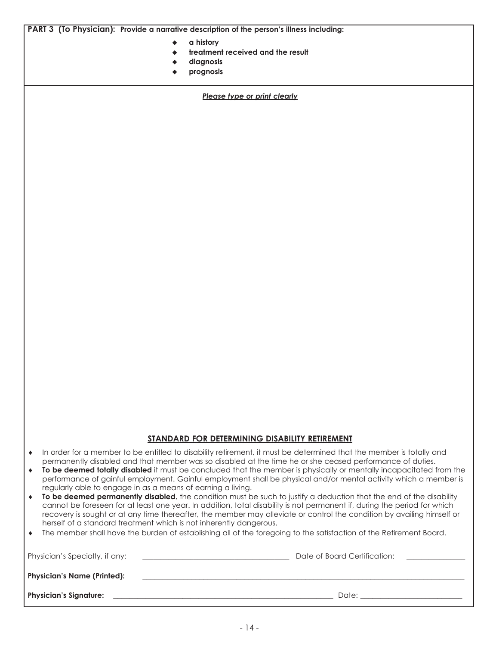**PART 3 (To Physician): Provide a narrative description of the person's illness including:**

- u **a history**
- treatment received and the result
- diagnosis
- u **prognosis**

*Please type or print clearly*

#### **STANDARD FOR DETERMINING DISABILITY RETIREMENT**

- ♦ In order for a member to be entitled to disability retirement, it must be determined that the member is totally and permanently disabled and that member was so disabled at the time he or she ceased performance of duties.
- ♦ **To be deemed totally disabled** it must be concluded that the member is physically or mentally incapacitated from the performance of gainful employment. Gainful employment shall be physical and/or mental activity which a member is regularly able to engage in as a means of earning a living.
- ♦ **To be deemed permanently disabled**, the condition must be such to justify a deduction that the end of the disability cannot be foreseen for at least one year. In addition, total disability is not permanent if, during the period for which recovery is sought or at any time thereafter, the member may alleviate or control the condition by availing himself or herself of a standard treatment which is not inherently dangerous.
- ♦ The member shall have the burden of establishing all of the foregoing to the satisfaction of the Retirement Board.

| Physician's Specialty, if any:     | Date of Board Certification: |
|------------------------------------|------------------------------|
| <b>Physician's Name (Printed):</b> |                              |
| <b>Physician's Signature:</b>      | Date:                        |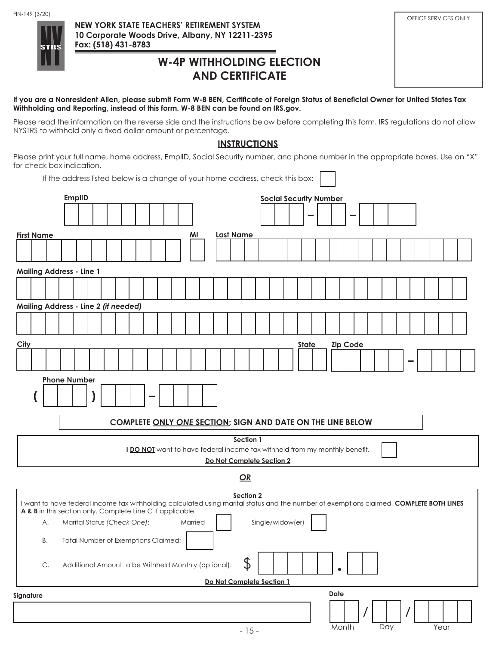

## **W-4P WITHHOLDING ELECTION AND CERTIFICATE**

| FIN-149 (3/20)<br><b>STRS</b> | NEW YORK STATE TEACHERS' RETIREMENT SYSTEM<br>10 Corporate Woods Drive, Albany, NY 12211-2395<br>Fax: (518) 431-8783 | OFFICE SERVICES ONLY |
|-------------------------------|----------------------------------------------------------------------------------------------------------------------|----------------------|
|                               | <b>W-4P WITHHOLDING ELECTION</b><br><b>AND CERTIFICATE</b>                                                           |                      |

If you are a Nonresident Alien, please submit Form W-8 BEN, Certificate of Foreign Status of Beneficial Owner for United States Tax **Withholding and Reporting, instead of this form. W-8 BEN can be found on IRS.gov.**

Please read the information on the reverse side and the instructions below before completing this form. IRS regulations do not allow NYSTRS to withhold only a fixed dollar amount or percentage.

### **INSTRUCTIONS**

Please print your full name, home address, EmplID, Social Security number, and phone number in the appropriate boxes. Use an "X" for check box indication. F ٦

|                                                                                                                                                                                                       | If the address listed below is a change of your home address, check this box: |  |                             |  |                                                                            |         |                  |           |                               |              |      |       |                 |  |     |  |      |  |
|-------------------------------------------------------------------------------------------------------------------------------------------------------------------------------------------------------|-------------------------------------------------------------------------------|--|-----------------------------|--|----------------------------------------------------------------------------|---------|------------------|-----------|-------------------------------|--------------|------|-------|-----------------|--|-----|--|------|--|
|                                                                                                                                                                                                       | <b>EmplID</b>                                                                 |  |                             |  |                                                                            |         |                  |           | <b>Social Security Number</b> |              |      |       |                 |  |     |  |      |  |
|                                                                                                                                                                                                       |                                                                               |  |                             |  |                                                                            |         |                  |           |                               |              |      |       |                 |  |     |  |      |  |
| <b>First Name</b>                                                                                                                                                                                     |                                                                               |  |                             |  |                                                                            | ΜI      | <b>Last Name</b> |           |                               |              |      |       |                 |  |     |  |      |  |
|                                                                                                                                                                                                       |                                                                               |  |                             |  |                                                                            |         |                  |           |                               |              |      |       |                 |  |     |  |      |  |
| <b>Mailing Address - Line 1</b>                                                                                                                                                                       |                                                                               |  |                             |  |                                                                            |         |                  |           |                               |              |      |       |                 |  |     |  |      |  |
|                                                                                                                                                                                                       |                                                                               |  |                             |  |                                                                            |         |                  |           |                               |              |      |       |                 |  |     |  |      |  |
| Mailing Address - Line 2 (if needed)                                                                                                                                                                  |                                                                               |  |                             |  |                                                                            |         |                  |           |                               |              |      |       |                 |  |     |  |      |  |
|                                                                                                                                                                                                       |                                                                               |  |                             |  |                                                                            |         |                  |           |                               |              |      |       |                 |  |     |  |      |  |
| City                                                                                                                                                                                                  |                                                                               |  |                             |  |                                                                            |         |                  |           |                               | <b>State</b> |      |       | <b>Zip Code</b> |  |     |  |      |  |
|                                                                                                                                                                                                       |                                                                               |  |                             |  |                                                                            |         |                  |           |                               |              |      |       |                 |  |     |  |      |  |
|                                                                                                                                                                                                       | <b>Phone Number</b>                                                           |  |                             |  |                                                                            |         |                  |           |                               |              |      |       |                 |  |     |  |      |  |
|                                                                                                                                                                                                       |                                                                               |  |                             |  |                                                                            |         |                  |           |                               |              |      |       |                 |  |     |  |      |  |
|                                                                                                                                                                                                       |                                                                               |  |                             |  | COMPLETE ONLY ONE SECTION; SIGN AND DATE ON THE LINE BELOW                 |         |                  |           |                               |              |      |       |                 |  |     |  |      |  |
|                                                                                                                                                                                                       |                                                                               |  |                             |  |                                                                            |         |                  | Section 1 |                               |              |      |       |                 |  |     |  |      |  |
|                                                                                                                                                                                                       |                                                                               |  |                             |  | I DO NOT want to have federal income tax withheld from my monthly benefit. |         |                  |           | Do Not Complete Section 2     |              |      |       |                 |  |     |  |      |  |
|                                                                                                                                                                                                       |                                                                               |  |                             |  |                                                                            |         |                  | OR        |                               |              |      |       |                 |  |     |  |      |  |
| I want to have federal income tax withholding calculated using marital status and the number of exemptions claimed, COMPLETE BOTH LINES<br>A & B in this section only. Complete Line C if applicable. |                                                                               |  |                             |  |                                                                            |         |                  | Section 2 |                               |              |      |       |                 |  |     |  |      |  |
| А.                                                                                                                                                                                                    |                                                                               |  | Marital Status (Check One): |  |                                                                            | Married |                  |           | Single/widow(er)              |              |      |       |                 |  |     |  |      |  |
|                                                                                                                                                                                                       | B. Total Number of Exemptions Claimed:                                        |  |                             |  |                                                                            |         |                  |           |                               |              |      |       |                 |  |     |  |      |  |
| C.                                                                                                                                                                                                    |                                                                               |  |                             |  | Additional Amount to be Withheld Monthly (optional):                       |         |                  | \$        |                               |              |      |       |                 |  |     |  |      |  |
|                                                                                                                                                                                                       |                                                                               |  |                             |  |                                                                            |         |                  |           | Do Not Complete Section 1     |              |      |       |                 |  |     |  |      |  |
| Signature                                                                                                                                                                                             |                                                                               |  |                             |  |                                                                            |         |                  |           |                               |              | Date |       |                 |  |     |  |      |  |
|                                                                                                                                                                                                       |                                                                               |  |                             |  |                                                                            |         |                  |           |                               |              |      |       |                 |  |     |  |      |  |
|                                                                                                                                                                                                       |                                                                               |  |                             |  |                                                                            |         |                  | $-15-$    |                               |              |      | Month |                 |  | Day |  | Year |  |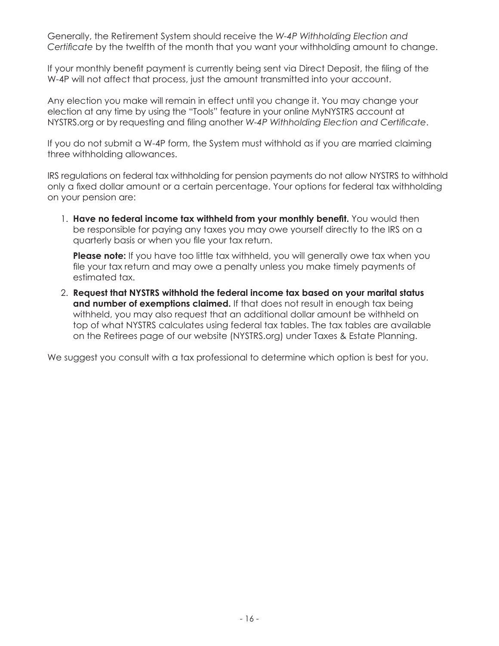Generally, the Retirement System should receive the *W-4P Withholding Election and Certificate* by the twelfth of the month that you want your withholding amount to change.

If your monthly benefit payment is currently being sent via Direct Deposit, the filing of the W-4P will not affect that process, just the amount transmitted into your account.

Any election you make will remain in effect until you change it. You may change your election at any time by using the "Tools" feature in your online MyNYSTRS account at NYSTRS.org or by requesting and filing another *W-4P Withholding Election and Certificate*.

If you do not submit a W-4P form, the System must withhold as if you are married claiming three withholding allowances.

IRS regulations on federal tax withholding for pension payments do not allow NYSTRS to withhold only a fixed dollar amount or a certain percentage. Your options for federal tax withholding on your pension are:

1. **Have no federal income tax withheld from your monthly benefit.** You would then be responsible for paying any taxes you may owe yourself directly to the IRS on a quarterly basis or when you file your tax return.

**Please note:** If you have too little tax withheld, you will generally owe tax when you file your tax return and may owe a penalty unless you make timely payments of estimated tax.

2. **Request that NYSTRS withhold the federal income tax based on your marital status and number of exemptions claimed.** If that does not result in enough tax being withheld, you may also request that an additional dollar amount be withheld on top of what NYSTRS calculates using federal tax tables. The tax tables are available on the Retirees page of our website (NYSTRS.org) under Taxes & Estate Planning.

We suggest you consult with a tax professional to determine which option is best for you.